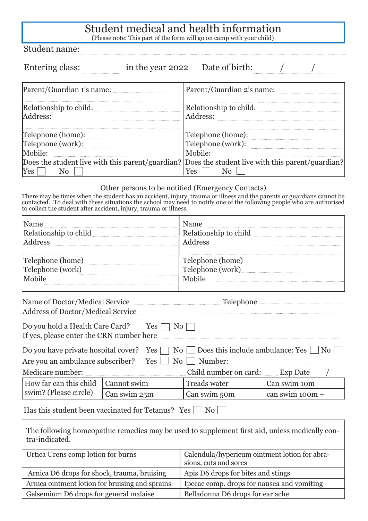## Student medical and health information

(Please note: This part of the form will go on camp with your child)

Student name:

| Entering class:                              | in the year 2022 Date of birth:                                                                          |
|----------------------------------------------|----------------------------------------------------------------------------------------------------------|
| Parent/Guardian 1's name: <b>Market 1998</b> | Parent/Guardian 2's name:                                                                                |
| Relationship to child:<br>Address:           | Relationship to child:<br>Address:                                                                       |
| Telephone (home):                            | Telephone (home):                                                                                        |
| Telephone (work):                            | Telephone (work):                                                                                        |
| Mobile:                                      | Mobile:                                                                                                  |
| <b>Yes</b><br>N <sub>0</sub>                 | Does the student live with this parent/guardian? Does the student live with this parent/guardian?<br>'es |

## Other persons to be notified (Emergency Contacts)

There may be times when the student has an accident, injury, trauma or illness and the parents or guardians cannot be contacted. To deal with these situations the school may need to notify one of the following people who are authorised to collect the student after accident, injury, trauma or illness.

| Name<br>Address                                                                                   | Name<br>Relationship to child<br>Address                                          |
|---------------------------------------------------------------------------------------------------|-----------------------------------------------------------------------------------|
| Telephone (home)<br>Telephone (work)<br>Mobile                                                    | Telephone (home)<br>Telephone (work)<br>Mobile                                    |
| Address of Doctor/Medical Service <b>Manual Service</b> Service Address of Doctor/Medical Service | Name of Doctor/Medical Service <u>Communications</u> Telephone Telephone          |
| Do you hold a Health Care Card? Yes $\Box$ No<br>If yes, please enter the CRN number here         |                                                                                   |
| Do you have private hospital cover? Yes<br>Are vou an ambulance subscriber? Yes                   | Does this include ambulance: $Yes \mid No$<br>No<br>$\overline{N_{0}}$<br>Number: |

| Medicare number:                   |              | Child number on card: | Exp Date          |
|------------------------------------|--------------|-----------------------|-------------------|
| How far can this child Cannot swim |              | Treads water          | Can swim 10m      |
| swim? (Please circle)              | Can swim 25m | Can swim 50m          | can swim $100m +$ |
|                                    |              |                       |                   |

Has this student been vaccinated for Tetanus? Yes  $\Box$  No  $\Box$ 

The following homeopathic remedies may be used to supplement first aid, unless medically contra-indicated.

| Urtica Urens comp lotion for burns              | Calendula/hypericum ointment lotion for abra-<br>sions, cuts and sores |
|-------------------------------------------------|------------------------------------------------------------------------|
| Arnica D6 drops for shock, trauma, bruising     | Apis D6 drops for bites and stings                                     |
| Arnica ointment lotion for bruising and sprains | I pecac comp. drops for nausea and vomiting                            |
| Gelsemium D6 drops for general malaise          | Belladonna D6 drops for ear ache                                       |